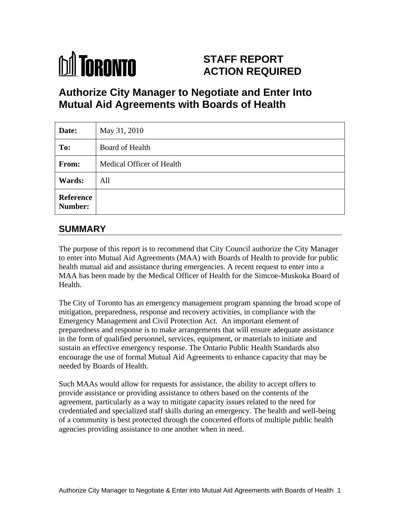

# **STAFF REPORT ACTION REQUIRED**

# **Authorize City Manager to Negotiate and Enter Into Mutual Aid Agreements with Boards of Health**

| Date:                | May 31, 2010              |
|----------------------|---------------------------|
| To:                  | Board of Health           |
| From:                | Medical Officer of Health |
| <b>Wards:</b>        | All                       |
| Reference<br>Number: |                           |

# **SUMMARY**

The purpose of this report is to recommend that City Council authorize the City Manager to enter into Mutual Aid Agreements (MAA) with Boards of Health to provide for public health mutual aid and assistance during emergencies. A recent request to enter into a MAA has been made by the Medical Officer of Health for the Simcoe-Muskoka Board of Health.

The City of Toronto has an emergency management program spanning the broad scope of mitigation, preparedness, response and recovery activities, in compliance with the Emergency Management and Civil Protection Act. An important element of preparedness and response is to make arrangements that will ensure adequate assistance in the form of qualified personnel, services, equipment, or materials to initiate and sustain an effective emergency response. The Ontario Public Health Standards also encourage the use of formal Mutual Aid Agreements to enhance capacity that may be needed by Boards of Health.

Such MAAs would allow for requests for assistance, the ability to accept offers to provide assistance or providing assistance to others based on the contents of the agreement, particularly as a way to mitigate capacity issues related to the need for credentialed and specialized staff skills during an emergency. The health and well-being of a community is best protected through the concerted efforts of multiple public health agencies providing assistance to one another when in need.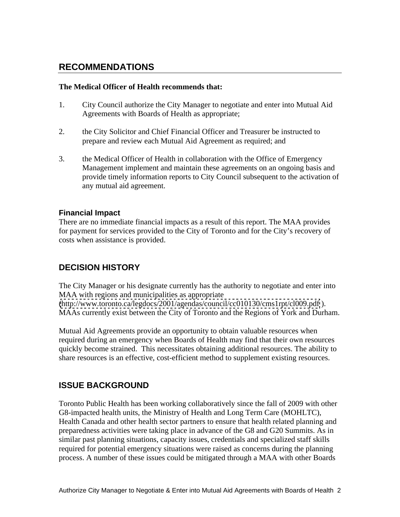## **RECOMMENDATIONS**

#### **The Medical Officer of Health recommends that:**

- 1. City Council authorize the City Manager to negotiate and enter into Mutual Aid Agreements with Boards of Health as appropriate;
- 2. the City Solicitor and Chief Financial Officer and Treasurer be instructed to prepare and review each Mutual Aid Agreement as required; and
- 3. the Medical Officer of Health in collaboration with the Office of Emergency Management implement and maintain these agreements on an ongoing basis and provide timely information reports to City Council subsequent to the activation of any mutual aid agreement.

#### **Financial Impact**

There are no immediate financial impacts as a result of this report. The MAA provides for payment for services provided to the City of Toronto and for the City's recovery of costs when assistance is provided.

### **DECISION HISTORY**

The City Manager or his designate currently has the authority to negotiate and enter into MAA with regions and municipalities as appropriate [\(http://www.toronto.ca/legdocs/2001/agendas/council/cc010130/cms1rpt/cl009.pdf](http://www.toronto.ca/legdocs/2001/agendas/council/cc010130/cms1rpt/cl009.pdf) ). MAAs currently exist between the City of Toronto and the Regions of York and Durham.

Mutual Aid Agreements provide an opportunity to obtain valuable resources when required during an emergency when Boards of Health may find that their own resources quickly become strained. This necessitates obtaining additional resources. The ability to share resources is an effective, cost-efficient method to supplement existing resources.

### **ISSUE BACKGROUND**

Toronto Public Health has been working collaboratively since the fall of 2009 with other G8-impacted health units, the Ministry of Health and Long Term Care (MOHLTC), Health Canada and other health sector partners to ensure that health related planning and preparedness activities were taking place in advance of the G8 and G20 Summits. As in similar past planning situations, capacity issues, credentials and specialized staff skills required for potential emergency situations were raised as concerns during the planning process. A number of these issues could be mitigated through a MAA with other Boards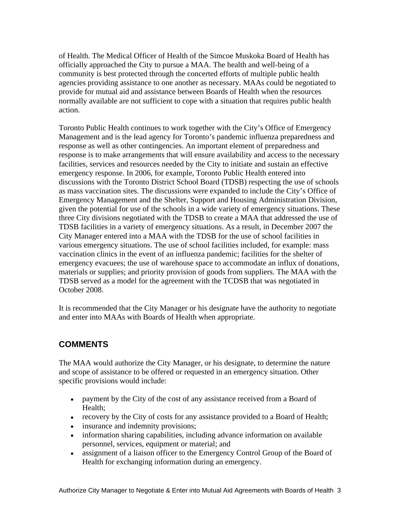of Health. The Medical Officer of Health of the Simcoe Muskoka Board of Health has officially approached the City to pursue a MAA. The health and well-being of a community is best protected through the concerted efforts of multiple public health agencies providing assistance to one another as necessary. MAAs could be negotiated to provide for mutual aid and assistance between Boards of Health when the resources normally available are not sufficient to cope with a situation that requires public health action.

Toronto Public Health continues to work together with the City's Office of Emergency Management and is the lead agency for Toronto's pandemic influenza preparedness and response as well as other contingencies. An important element of preparedness and response is to make arrangements that will ensure availability and access to the necessary facilities, services and resources needed by the City to initiate and sustain an effective emergency response. In 2006, for example, Toronto Public Health entered into discussions with the Toronto District School Board (TDSB) respecting the use of schools as mass vaccination sites. The discussions were expanded to include the City's Office of Emergency Management and the Shelter, Support and Housing Administration Division, given the potential for use of the schools in a wide variety of emergency situations. These three City divisions negotiated with the TDSB to create a MAA that addressed the use of TDSB facilities in a variety of emergency situations. As a result, in December 2007 the City Manager entered into a MAA with the TDSB for the use of school facilities in various emergency situations. The use of school facilities included, for example: mass vaccination clinics in the event of an influenza pandemic; facilities for the shelter of emergency evacuees; the use of warehouse space to accommodate an influx of donations, materials or supplies; and priority provision of goods from suppliers. The MAA with the TDSB served as a model for the agreement with the TCDSB that was negotiated in October 2008.

It is recommended that the City Manager or his designate have the authority to negotiate and enter into MAAs with Boards of Health when appropriate.

## **COMMENTS**

The MAA would authorize the City Manager, or his designate, to determine the nature and scope of assistance to be offered or requested in an emergency situation. Other specific provisions would include:

- payment by the City of the cost of any assistance received from a Board of Health;
- recovery by the City of costs for any assistance provided to a Board of Health;
- insurance and indemnity provisions;
- information sharing capabilities, including advance information on available personnel, services, equipment or material; and
- assignment of a liaison officer to the Emergency Control Group of the Board of Health for exchanging information during an emergency.